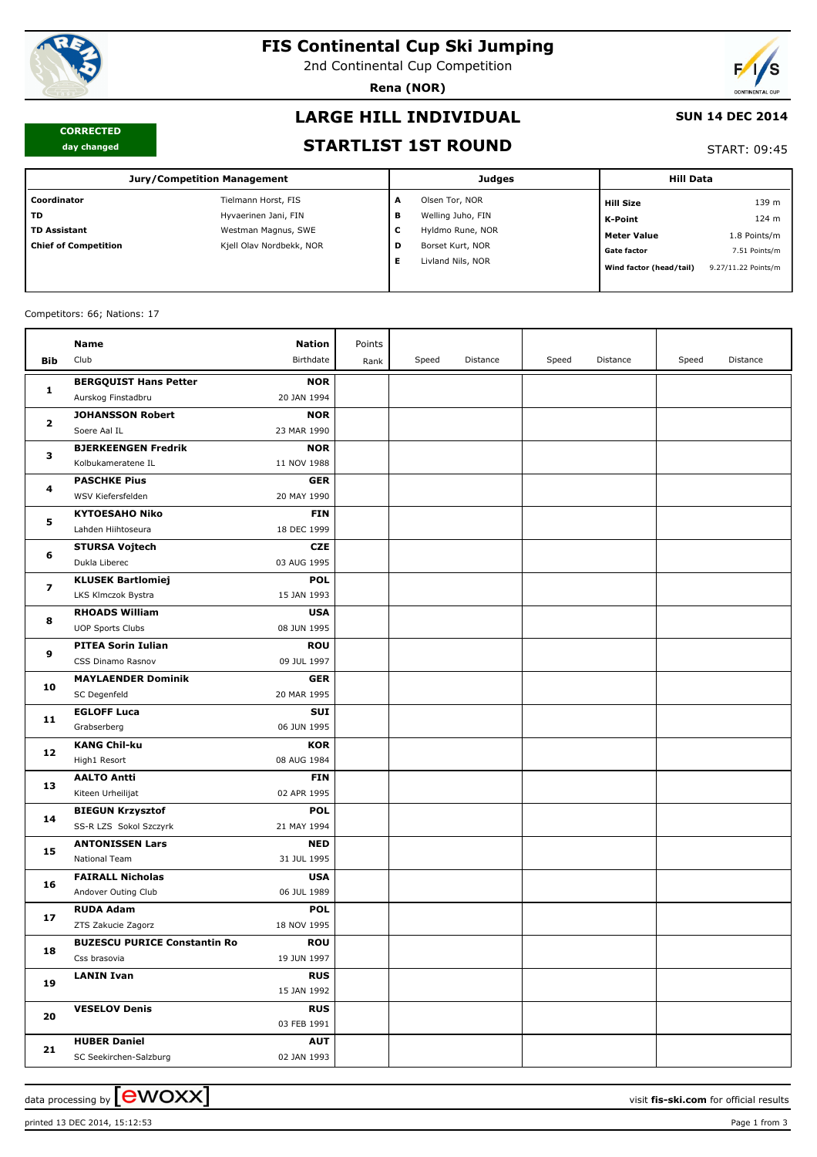

# **FIS Continental Cup Ski Jumping**

2nd Continental Cup Competition

**Rena (NOR)**



#### **CORRECTED day changed**

# **LARGE HILL INDIVIDUAL**

### **SUN 14 DEC 2014**

### **STARTLIST 1ST ROUND**

#### START: 09:45

| <b>Jury/Competition Management</b> |                          |   | <b>Judges</b>     | <b>Hill Data</b>        |                     |  |
|------------------------------------|--------------------------|---|-------------------|-------------------------|---------------------|--|
| Coordinator                        | Tielmann Horst, FIS      | A | Olsen Tor, NOR    | <b>Hill Size</b>        | 139 m               |  |
| <b>TD</b>                          | Hyvaerinen Jani, FIN     | в | Welling Juho, FIN | K-Point                 | 124 m               |  |
| <b>TD Assistant</b>                | Westman Magnus, SWE      | c | Hyldmo Rune, NOR  | <b>Meter Value</b>      | 1.8 Points/m        |  |
| <b>Chief of Competition</b>        | Kjell Olav Nordbekk, NOR | D | Borset Kurt, NOR  | <b>Gate factor</b>      | 7.51 Points/m       |  |
|                                    |                          | Е | Livland Nils, NOR | Wind factor (head/tail) | 9.27/11.22 Points/m |  |

### Competitors: 66; Nations: 17

|                             | Name                                  | <b>Nation</b> | Points |       |          |       |          |       |          |
|-----------------------------|---------------------------------------|---------------|--------|-------|----------|-------|----------|-------|----------|
| Bib                         | Club                                  | Birthdate     | Rank   | Speed | Distance | Speed | Distance | Speed | Distance |
|                             | <b>BERGQUIST Hans Petter</b>          | <b>NOR</b>    |        |       |          |       |          |       |          |
| 1                           | Aurskog Finstadbru                    | 20 JAN 1994   |        |       |          |       |          |       |          |
|                             | <b>JOHANSSON Robert</b>               | <b>NOR</b>    |        |       |          |       |          |       |          |
| $\mathbf{2}$<br>з<br>4<br>5 | Soere Aal IL                          | 23 MAR 1990   |        |       |          |       |          |       |          |
|                             | <b>BJERKEENGEN Fredrik</b>            | <b>NOR</b>    |        |       |          |       |          |       |          |
|                             | Kolbukameratene IL                    | 11 NOV 1988   |        |       |          |       |          |       |          |
|                             | <b>PASCHKE Pius</b>                   | <b>GER</b>    |        |       |          |       |          |       |          |
|                             | WSV Kiefersfelden                     | 20 MAY 1990   |        |       |          |       |          |       |          |
|                             | <b>KYTOESAHO Niko</b>                 | <b>FIN</b>    |        |       |          |       |          |       |          |
|                             | Lahden Hiihtoseura                    | 18 DEC 1999   |        |       |          |       |          |       |          |
|                             | <b>STURSA Vojtech</b>                 | <b>CZE</b>    |        |       |          |       |          |       |          |
| 6                           | Dukla Liberec                         | 03 AUG 1995   |        |       |          |       |          |       |          |
|                             | <b>KLUSEK Bartlomiej</b>              | <b>POL</b>    |        |       |          |       |          |       |          |
| 7                           | LKS Klmczok Bystra                    | 15 JAN 1993   |        |       |          |       |          |       |          |
|                             | <b>RHOADS William</b>                 | <b>USA</b>    |        |       |          |       |          |       |          |
| 8                           | <b>UOP Sports Clubs</b>               | 08 JUN 1995   |        |       |          |       |          |       |          |
|                             | <b>PITEA Sorin Iulian</b>             | <b>ROU</b>    |        |       |          |       |          |       |          |
| 9                           | CSS Dinamo Rasnov                     | 09 JUL 1997   |        |       |          |       |          |       |          |
| 10                          | <b>MAYLAENDER Dominik</b>             | <b>GER</b>    |        |       |          |       |          |       |          |
|                             | SC Degenfeld                          | 20 MAR 1995   |        |       |          |       |          |       |          |
| 11                          | <b>EGLOFF Luca</b>                    | <b>SUI</b>    |        |       |          |       |          |       |          |
|                             | Grabserberg                           | 06 JUN 1995   |        |       |          |       |          |       |          |
|                             | <b>KANG Chil-ku</b>                   | <b>KOR</b>    |        |       |          |       |          |       |          |
| 12                          | High1 Resort                          | 08 AUG 1984   |        |       |          |       |          |       |          |
|                             | <b>AALTO Antti</b>                    | <b>FIN</b>    |        |       |          |       |          |       |          |
| 13                          | Kiteen Urheilijat                     | 02 APR 1995   |        |       |          |       |          |       |          |
|                             | <b>BIEGUN Krzysztof</b>               | <b>POL</b>    |        |       |          |       |          |       |          |
| 14                          | SS-R LZS Sokol Szczyrk                | 21 MAY 1994   |        |       |          |       |          |       |          |
| 15                          | <b>ANTONISSEN Lars</b>                | <b>NED</b>    |        |       |          |       |          |       |          |
|                             | National Team                         | 31 JUL 1995   |        |       |          |       |          |       |          |
| 16                          | <b>FAIRALL Nicholas</b>               | <b>USA</b>    |        |       |          |       |          |       |          |
|                             | Andover Outing Club                   | 06 JUL 1989   |        |       |          |       |          |       |          |
| 17                          | <b>RUDA Adam</b>                      | <b>POL</b>    |        |       |          |       |          |       |          |
|                             | ZTS Zakucie Zagorz                    | 18 NOV 1995   |        |       |          |       |          |       |          |
| 18                          | <b>BUZESCU PURICE Constantin Roll</b> | <b>ROU</b>    |        |       |          |       |          |       |          |
|                             | Css brasovia                          | 19 JUN 1997   |        |       |          |       |          |       |          |
| 19                          | <b>LANIN Ivan</b>                     | <b>RUS</b>    |        |       |          |       |          |       |          |
|                             |                                       | 15 JAN 1992   |        |       |          |       |          |       |          |
| 20                          | <b>VESELOV Denis</b>                  | <b>RUS</b>    |        |       |          |       |          |       |          |
|                             |                                       | 03 FEB 1991   |        |       |          |       |          |       |          |
| 21                          | <b>HUBER Daniel</b>                   | <b>AUT</b>    |        |       |          |       |          |       |          |
|                             | SC Seekirchen-Salzburg                | 02 JAN 1993   |        |       |          |       |          |       |          |

printed 13 DEC 2014, 15:12:53 Page 1 from 3

data processing by **CWOXX**  $\blacksquare$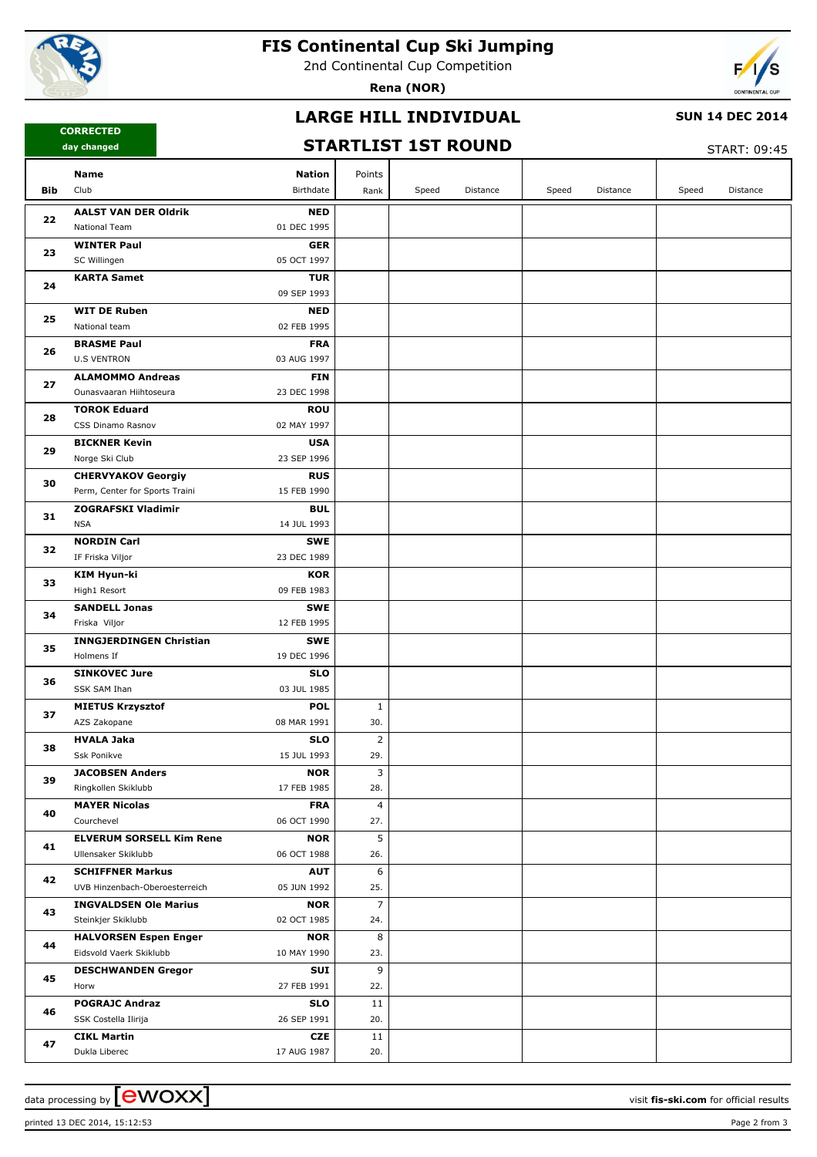

# **FIS Continental Cup Ski Jumping**

2nd Continental Cup Competition

**Rena (NOR)**



## **LARGE HILL INDIVIDUAL**

#### **SUN 14 DEC 2014**

**CORRECTED day changed**

## **STARTLIST 1ST ROUND**

 $START: 09.45$ 

|     |                                                                            |                       |       |          |       |          |       | .        |
|-----|----------------------------------------------------------------------------|-----------------------|-------|----------|-------|----------|-------|----------|
|     | Name<br><b>Nation</b>                                                      | Points                |       |          |       |          |       |          |
| Bib | Club<br>Birthdate                                                          | Rank                  | Speed | Distance | Speed | Distance | Speed | Distance |
| 22  | <b>AALST VAN DER Oldrik</b><br><b>NED</b>                                  |                       |       |          |       |          |       |          |
|     | National Team<br>01 DEC 1995                                               |                       |       |          |       |          |       |          |
|     | <b>WINTER Paul</b><br><b>GER</b>                                           |                       |       |          |       |          |       |          |
| 23  | SC Willingen<br>05 OCT 1997                                                |                       |       |          |       |          |       |          |
|     | <b>TUR</b><br><b>KARTA Samet</b>                                           |                       |       |          |       |          |       |          |
| 24  | 09 SEP 1993                                                                |                       |       |          |       |          |       |          |
| 25  | <b>WIT DE Ruben</b><br><b>NED</b>                                          |                       |       |          |       |          |       |          |
|     | National team<br>02 FEB 1995                                               |                       |       |          |       |          |       |          |
| 26  | <b>FRA</b><br><b>BRASME Paul</b>                                           |                       |       |          |       |          |       |          |
|     | <b>U.S VENTRON</b><br>03 AUG 1997                                          |                       |       |          |       |          |       |          |
| 27  | <b>ALAMOMMO Andreas</b><br><b>FIN</b>                                      |                       |       |          |       |          |       |          |
|     | 23 DEC 1998<br>Ounasvaaran Hiihtoseura                                     |                       |       |          |       |          |       |          |
| 28  | <b>ROU</b><br><b>TOROK Eduard</b>                                          |                       |       |          |       |          |       |          |
|     | CSS Dinamo Rasnov<br>02 MAY 1997                                           |                       |       |          |       |          |       |          |
| 29  | <b>USA</b><br><b>BICKNER Kevin</b>                                         |                       |       |          |       |          |       |          |
|     | Norge Ski Club<br>23 SEP 1996                                              |                       |       |          |       |          |       |          |
| 30  | <b>CHERVYAKOV Georgiy</b><br><b>RUS</b>                                    |                       |       |          |       |          |       |          |
|     | Perm, Center for Sports Traini<br>15 FEB 1990                              |                       |       |          |       |          |       |          |
| 31  | <b>ZOGRAFSKI Vladimir</b><br><b>BUL</b>                                    |                       |       |          |       |          |       |          |
|     | <b>NSA</b><br>14 JUL 1993                                                  |                       |       |          |       |          |       |          |
| 32  | <b>NORDIN Carl</b><br><b>SWE</b>                                           |                       |       |          |       |          |       |          |
|     | IF Friska Viljor<br>23 DEC 1989                                            |                       |       |          |       |          |       |          |
| 33  | <b>KIM Hyun-ki</b><br><b>KOR</b>                                           |                       |       |          |       |          |       |          |
|     | High1 Resort<br>09 FEB 1983                                                |                       |       |          |       |          |       |          |
| 34  | <b>SWE</b><br><b>SANDELL Jonas</b>                                         |                       |       |          |       |          |       |          |
|     | Friska Viljor<br>12 FEB 1995                                               |                       |       |          |       |          |       |          |
| 35  | <b>INNGJERDINGEN Christian</b><br><b>SWE</b>                               |                       |       |          |       |          |       |          |
|     | Holmens If<br>19 DEC 1996                                                  |                       |       |          |       |          |       |          |
| 36  | <b>SINKOVEC Jure</b><br><b>SLO</b>                                         |                       |       |          |       |          |       |          |
|     | SSK SAM Ihan<br>03 JUL 1985                                                |                       |       |          |       |          |       |          |
| 37  | <b>POL</b><br><b>MIETUS Krzysztof</b>                                      | $\mathbf{1}$          |       |          |       |          |       |          |
|     | AZS Zakopane<br>08 MAR 1991                                                | 30.                   |       |          |       |          |       |          |
| 38  | <b>HVALA Jaka</b><br><b>SLO</b><br>Ssk Ponikve<br>15 JUL 1993              | $\overline{2}$<br>29. |       |          |       |          |       |          |
|     |                                                                            |                       |       |          |       |          |       |          |
| 39  | <b>JACOBSEN Anders</b><br><b>NOR</b><br>Ringkollen Skiklubb<br>17 FEB 1985 | 3<br>28.              |       |          |       |          |       |          |
|     | <b>MAYER Nicolas</b><br><b>FRA</b>                                         | $\overline{4}$        |       |          |       |          |       |          |
| 40  | 06 OCT 1990<br>Courchevel                                                  | 27.                   |       |          |       |          |       |          |
|     | <b>ELVERUM SORSELL Kim Rene</b><br><b>NOR</b>                              | 5                     |       |          |       |          |       |          |
| 41  | 06 OCT 1988<br>Ullensaker Skiklubb                                         | 26.                   |       |          |       |          |       |          |
|     | <b>SCHIFFNER Markus</b><br><b>AUT</b>                                      | 6                     |       |          |       |          |       |          |
| 42  | UVB Hinzenbach-Oberoesterreich<br>05 JUN 1992                              | 25.                   |       |          |       |          |       |          |
|     | <b>INGVALDSEN Ole Marius</b><br><b>NOR</b>                                 | $\overline{7}$        |       |          |       |          |       |          |
| 43  | 02 OCT 1985<br>Steinkjer Skiklubb                                          | 24.                   |       |          |       |          |       |          |
|     | <b>HALVORSEN Espen Enger</b><br><b>NOR</b>                                 | 8                     |       |          |       |          |       |          |
| 44  | Eidsvold Vaerk Skiklubb<br>10 MAY 1990                                     | 23.                   |       |          |       |          |       |          |
|     | <b>DESCHWANDEN Gregor</b><br>SUI                                           | 9                     |       |          |       |          |       |          |
| 45  | Horw<br>27 FEB 1991                                                        | 22.                   |       |          |       |          |       |          |
|     | <b>POGRAJC Andraz</b><br><b>SLO</b>                                        | 11                    |       |          |       |          |       |          |
| 46  | SSK Costella Ilirija<br>26 SEP 1991                                        | 20.                   |       |          |       |          |       |          |
|     | CZE<br><b>CIKL Martin</b>                                                  | 11                    |       |          |       |          |       |          |
| 47  | Dukla Liberec<br>17 AUG 1987                                               | 20.                   |       |          |       |          |       |          |

printed 13 DEC 2014, 15:12:53 Page 2 from 3

data processing by **CWOXX** and  $\overline{C}$  and  $\overline{C}$  and  $\overline{C}$  and  $\overline{C}$  and  $\overline{C}$  and  $\overline{C}$  and  $\overline{C}$  and  $\overline{C}$  and  $\overline{C}$  and  $\overline{C}$  and  $\overline{C}$  and  $\overline{C}$  and  $\overline{C}$  and  $\overline{C}$  and  $\overline{C}$